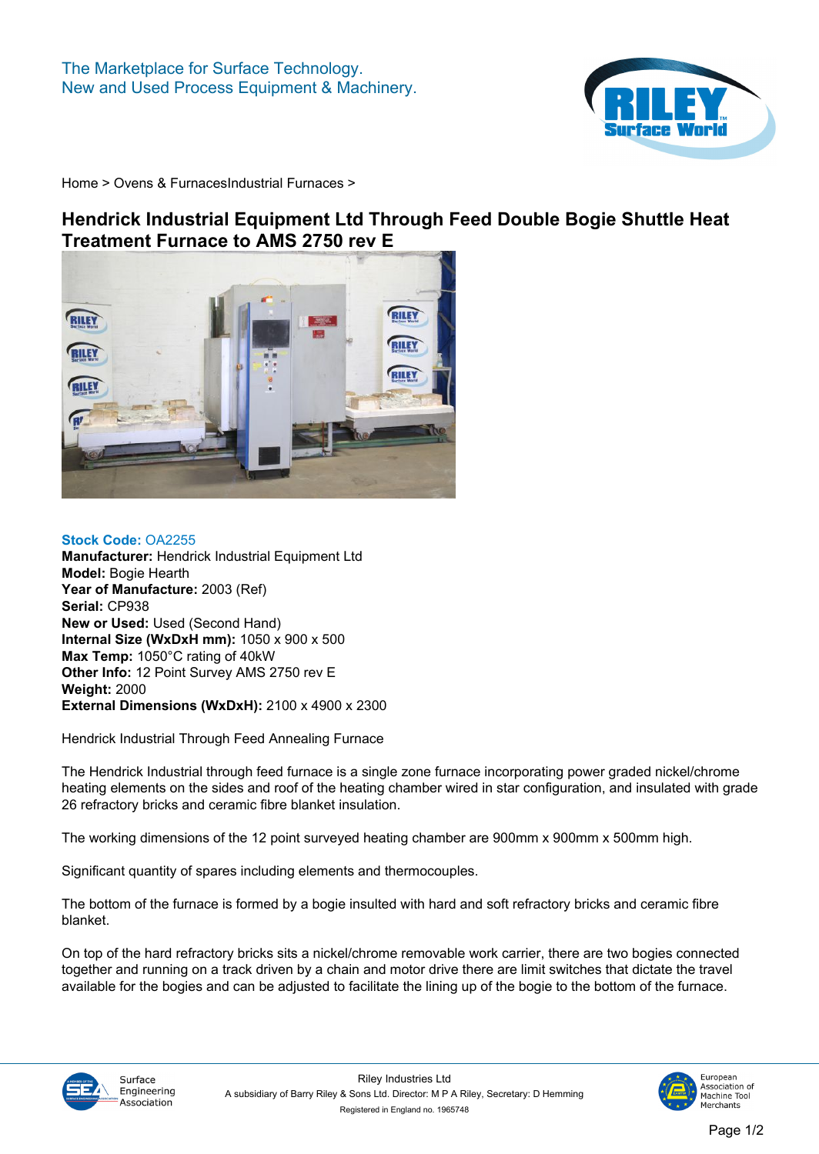

**[Home](https://www.rileysurfaceworld.co.uk) > [Ovens & Furnaces](https://www.rileysurfaceworld.co.uk/ovens.asp)[Industrial Furnaces](https://www.rileysurfaceworld.co.uk/furnaces-industrial.asp) >**

## **Hendrick Industrial Equipment Ltd Through Feed Double Bogie Shuttle Heat Treatment Furnace to AMS 2750 rev E**



**Stock Code: OA2255 Manufacturer: Hendrick Industrial Equipment Ltd Model: Bogie Hearth Year of Manufacture: 2003 (Ref) Serial: CP938 New or Used: Used (Second Hand) Internal Size (WxDxH mm): 1050 x 900 x 500 Max Temp: 1050°C rating of 40kW Other Info: 12 Point Survey AMS 2750 rev E Weight: 2000 External Dimensions (WxDxH): 2100 x 4900 x 2300**

**Hendrick Industrial Through Feed Annealing Furnace**

**The Hendrick Industrial through feed furnace is a single zone furnace incorporating power graded nickel/chrome heating elements on the sides and roof of the heating chamber wired in star configuration, and insulated with grade 26 refractory bricks and ceramic fibre blanket insulation.**

**The working dimensions of the 12 point surveyed heating chamber are 900mm x 900mm x 500mm high.**

**Significant quantity of spares including elements and thermocouples.**

**The bottom of the furnace is formed by a bogie insulted with hard and soft refractory bricks and ceramic fibre blanket.**

**On top of the hard refractory bricks sits a nickel/chrome removable work carrier, there are two bogies connected together and running on a track driven by a chain and motor drive there are limit switches that dictate the travel available for the bogies and can be adjusted to facilitate the lining up of the bogie to the bottom of the furnace.**